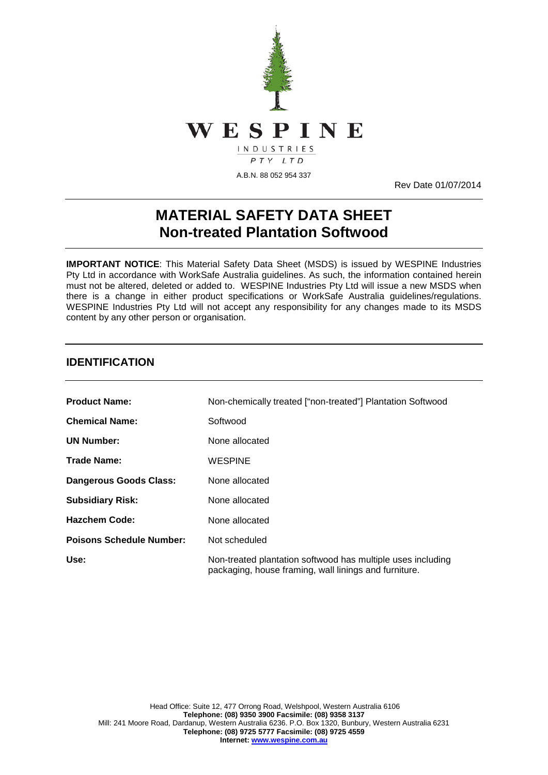

Rev Date 01/07/2014

# **MATERIAL SAFETY DATA SHEET Non-treated Plantation Softwood**

**IMPORTANT NOTICE**: This Material Safety Data Sheet (MSDS) is issued by WESPINE Industries Pty Ltd in accordance with WorkSafe Australia guidelines. As such, the information contained herein must not be altered, deleted or added to. WESPINE Industries Pty Ltd will issue a new MSDS when there is a change in either product specifications or WorkSafe Australia guidelines/regulations. WESPINE Industries Pty Ltd will not accept any responsibility for any changes made to its MSDS content by any other person or organisation.

#### **IDENTIFICATION**

| <b>Product Name:</b>            | Non-chemically treated ["non-treated"] Plantation Softwood                                                           |
|---------------------------------|----------------------------------------------------------------------------------------------------------------------|
| <b>Chemical Name:</b>           | Softwood                                                                                                             |
| <b>UN Number:</b>               | None allocated                                                                                                       |
| Trade Name:                     | <b>WESPINE</b>                                                                                                       |
| Dangerous Goods Class:          | None allocated                                                                                                       |
| <b>Subsidiary Risk:</b>         | None allocated                                                                                                       |
| <b>Hazchem Code:</b>            | None allocated                                                                                                       |
| <b>Poisons Schedule Number:</b> | Not scheduled                                                                                                        |
| Use:                            | Non-treated plantation softwood has multiple uses including<br>packaging, house framing, wall linings and furniture. |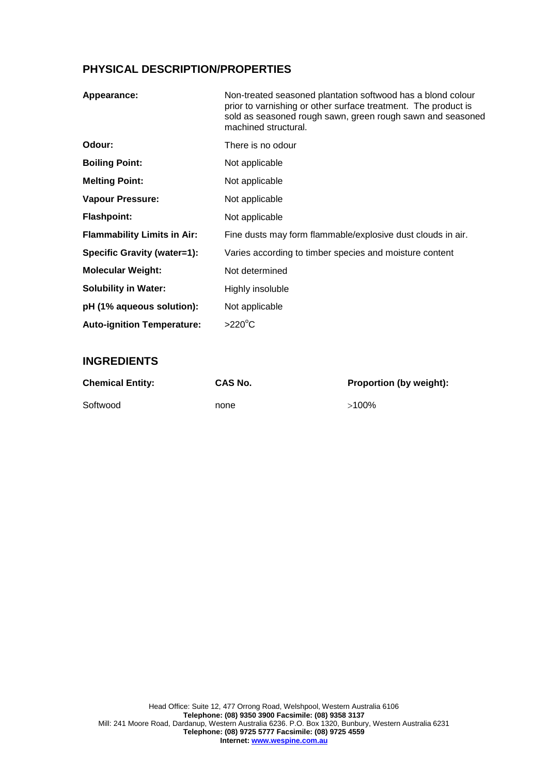### **PHYSICAL DESCRIPTION/PROPERTIES**

| Appearance:                        | Non-treated seasoned plantation softwood has a blond colour<br>prior to varnishing or other surface treatment. The product is<br>sold as seasoned rough sawn, green rough sawn and seasoned<br>machined structural. |
|------------------------------------|---------------------------------------------------------------------------------------------------------------------------------------------------------------------------------------------------------------------|
| Odour:                             | There is no odour                                                                                                                                                                                                   |
| <b>Boiling Point:</b>              | Not applicable                                                                                                                                                                                                      |
| <b>Melting Point:</b>              | Not applicable                                                                                                                                                                                                      |
| <b>Vapour Pressure:</b>            | Not applicable                                                                                                                                                                                                      |
| <b>Flashpoint:</b>                 | Not applicable                                                                                                                                                                                                      |
| <b>Flammability Limits in Air:</b> | Fine dusts may form flammable/explosive dust clouds in air.                                                                                                                                                         |
| Specific Gravity (water=1):        | Varies according to timber species and moisture content                                                                                                                                                             |
| <b>Molecular Weight:</b>           | Not determined                                                                                                                                                                                                      |
| <b>Solubility in Water:</b>        | Highly insoluble                                                                                                                                                                                                    |
| pH (1% aqueous solution):          | Not applicable                                                                                                                                                                                                      |
| <b>Auto-ignition Temperature:</b>  | $>220^{\circ}$ C                                                                                                                                                                                                    |

#### **INGREDIENTS**

| <b>Chemical Entity:</b> | <b>CAS No.</b> | <b>Proportion (by weight):</b> |
|-------------------------|----------------|--------------------------------|
| Softwood                | none           | $>100\%$                       |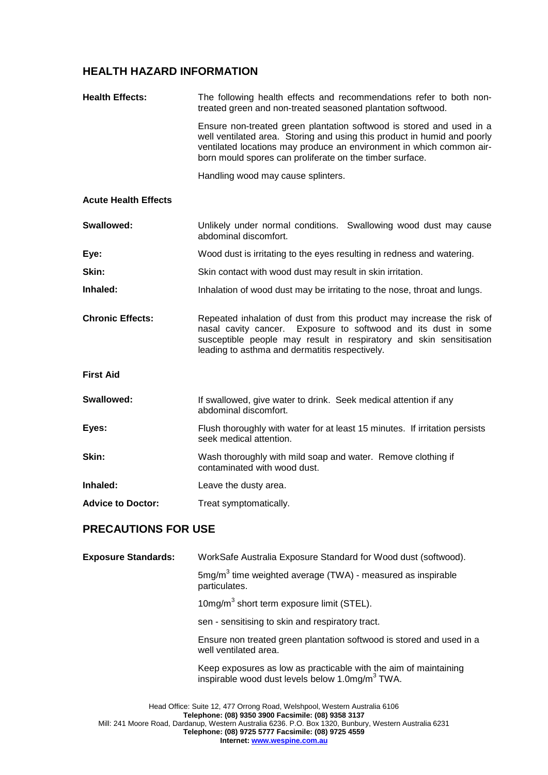### **HEALTH HAZARD INFORMATION**

| <b>Health Effects:</b>      | The following health effects and recommendations refer to both non-<br>treated green and non-treated seasoned plantation softwood.                                                                                                                                                                                                |
|-----------------------------|-----------------------------------------------------------------------------------------------------------------------------------------------------------------------------------------------------------------------------------------------------------------------------------------------------------------------------------|
|                             | Ensure non-treated green plantation softwood is stored and used in a<br>well ventilated area. Storing and using this product in humid and poorly<br>ventilated locations may produce an environment in which common air-<br>born mould spores can proliferate on the timber surface.                                              |
|                             | Handling wood may cause splinters.                                                                                                                                                                                                                                                                                                |
| <b>Acute Health Effects</b> |                                                                                                                                                                                                                                                                                                                                   |
| Swallowed:                  | Unlikely under normal conditions. Swallowing wood dust may cause<br>abdominal discomfort.                                                                                                                                                                                                                                         |
| Eye:                        | Wood dust is irritating to the eyes resulting in redness and watering.                                                                                                                                                                                                                                                            |
| Skin:                       | Skin contact with wood dust may result in skin irritation.                                                                                                                                                                                                                                                                        |
| Inhaled:                    | Inhalation of wood dust may be irritating to the nose, throat and lungs.                                                                                                                                                                                                                                                          |
| <b>Chronic Effects:</b>     | Repeated inhalation of dust from this product may increase the risk of<br>Exposure to softwood and its dust in some<br>nasal cavity cancer.<br>susceptible people may result in respiratory and skin sensitisation<br>leading to asthma and dermatitis respectively.                                                              |
| <b>First Aid</b>            |                                                                                                                                                                                                                                                                                                                                   |
| Swallowed:                  | If swallowed, give water to drink. Seek medical attention if any<br>abdominal discomfort.                                                                                                                                                                                                                                         |
| Eyes:                       | Flush thoroughly with water for at least 15 minutes. If irritation persists<br>seek medical attention.                                                                                                                                                                                                                            |
| Skin:                       | Wash thoroughly with mild soap and water. Remove clothing if<br>contaminated with wood dust.                                                                                                                                                                                                                                      |
| Inhaled:                    | Leave the dusty area.                                                                                                                                                                                                                                                                                                             |
| <b>Advice to Doctor:</b>    | Treat symptomatically.                                                                                                                                                                                                                                                                                                            |
| <b>PRECAUTIONS FOR USE</b>  |                                                                                                                                                                                                                                                                                                                                   |
| <b>Exposure Standards:</b>  | WorkSafe Australia Exposure Standard for Wood dust (softwood).                                                                                                                                                                                                                                                                    |
|                             | $5mg/m3$ time weighted average (TWA) - measured as inspirable<br>particulates.                                                                                                                                                                                                                                                    |
|                             | 10mg/m <sup>3</sup> short term exposure limit (STEL).                                                                                                                                                                                                                                                                             |
|                             | sen - sensitising to skin and respiratory tract.                                                                                                                                                                                                                                                                                  |
|                             | Ensure non treated green plantation softwood is stored and used in a<br>well ventilated area.                                                                                                                                                                                                                                     |
|                             | Keep exposures as low as practicable with the aim of maintaining<br>inspirable wood dust levels below 1.0mg/m <sup>3</sup> TWA.                                                                                                                                                                                                   |
|                             | Head Office: Suite 12, 477 Orrong Road, Welshpool, Western Australia 6106<br>Telephone: (08) 9350 3900 Facsimile: (08) 9358 3137<br>Mill: 241 Moore Road, Dardanup, Western Australia 6236. P.O. Box 1320, Bunbury, Western Australia 6231<br>Telephone: (08) 9725 5777 Facsimile: (08) 9725 4559<br>Internet: www.wespine.com.au |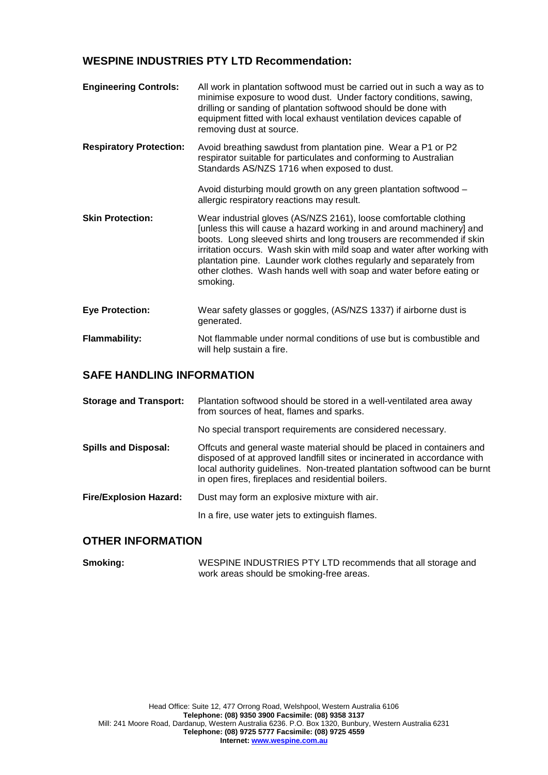#### **WESPINE INDUSTRIES PTY LTD Recommendation:**

| <b>Engineering Controls:</b>   | All work in plantation softwood must be carried out in such a way as to<br>minimise exposure to wood dust. Under factory conditions, sawing,<br>drilling or sanding of plantation softwood should be done with<br>equipment fitted with local exhaust ventilation devices capable of<br>removing dust at source.                                                                                                                                        |
|--------------------------------|---------------------------------------------------------------------------------------------------------------------------------------------------------------------------------------------------------------------------------------------------------------------------------------------------------------------------------------------------------------------------------------------------------------------------------------------------------|
| <b>Respiratory Protection:</b> | Avoid breathing sawdust from plantation pine. Wear a P1 or P2<br>respirator suitable for particulates and conforming to Australian<br>Standards AS/NZS 1716 when exposed to dust.                                                                                                                                                                                                                                                                       |
|                                | Avoid disturbing mould growth on any green plantation softwood -<br>allergic respiratory reactions may result.                                                                                                                                                                                                                                                                                                                                          |
| <b>Skin Protection:</b>        | Wear industrial gloves (AS/NZS 2161), loose comfortable clothing<br>[unless this will cause a hazard working in and around machinery] and<br>boots. Long sleeved shirts and long trousers are recommended if skin<br>irritation occurs. Wash skin with mild soap and water after working with<br>plantation pine. Launder work clothes regularly and separately from<br>other clothes. Wash hands well with soap and water before eating or<br>smoking. |
| <b>Eye Protection:</b>         | Wear safety glasses or goggles, (AS/NZS 1337) if airborne dust is<br>generated.                                                                                                                                                                                                                                                                                                                                                                         |
| <b>Flammability:</b>           | Not flammable under normal conditions of use but is combustible and<br>will help sustain a fire.                                                                                                                                                                                                                                                                                                                                                        |

#### **SAFE HANDLING INFORMATION**

| <b>Storage and Transport:</b> | Plantation softwood should be stored in a well-ventilated area away<br>from sources of heat, flames and sparks.                                                                                                                                                                     |
|-------------------------------|-------------------------------------------------------------------------------------------------------------------------------------------------------------------------------------------------------------------------------------------------------------------------------------|
|                               | No special transport requirements are considered necessary.                                                                                                                                                                                                                         |
| <b>Spills and Disposal:</b>   | Offcuts and general waste material should be placed in containers and<br>disposed of at approved landfill sites or incinerated in accordance with<br>local authority guidelines. Non-treated plantation softwood can be burnt<br>in open fires, fireplaces and residential boilers. |
| <b>Fire/Explosion Hazard:</b> | Dust may form an explosive mixture with air.                                                                                                                                                                                                                                        |
|                               | In a fire, use water jets to extinguish flames.                                                                                                                                                                                                                                     |

#### **OTHER INFORMATION**

**Smoking:** WESPINE INDUSTRIES PTY LTD recommends that all storage and work areas should be smoking-free areas.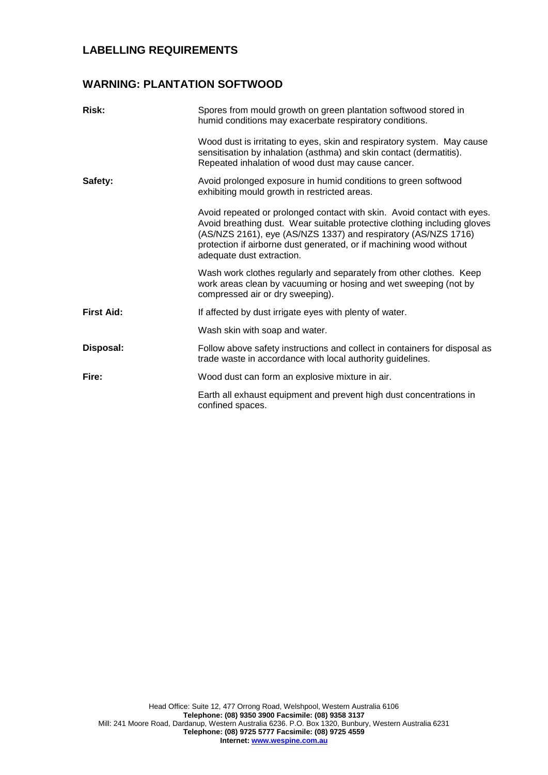### **LABELLING REQUIREMENTS**

#### **WARNING: PLANTATION SOFTWOOD**

| <b>Risk:</b>      | Spores from mould growth on green plantation softwood stored in<br>humid conditions may exacerbate respiratory conditions.                                                                                                                                                                                                |
|-------------------|---------------------------------------------------------------------------------------------------------------------------------------------------------------------------------------------------------------------------------------------------------------------------------------------------------------------------|
|                   | Wood dust is irritating to eyes, skin and respiratory system. May cause<br>sensitisation by inhalation (asthma) and skin contact (dermatitis).<br>Repeated inhalation of wood dust may cause cancer.                                                                                                                      |
| Safety:           | Avoid prolonged exposure in humid conditions to green softwood<br>exhibiting mould growth in restricted areas.                                                                                                                                                                                                            |
|                   | Avoid repeated or prolonged contact with skin. Avoid contact with eyes.<br>Avoid breathing dust. Wear suitable protective clothing including gloves<br>(AS/NZS 2161), eye (AS/NZS 1337) and respiratory (AS/NZS 1716)<br>protection if airborne dust generated, or if machining wood without<br>adequate dust extraction. |
|                   | Wash work clothes regularly and separately from other clothes. Keep<br>work areas clean by vacuuming or hosing and wet sweeping (not by<br>compressed air or dry sweeping).                                                                                                                                               |
| <b>First Aid:</b> | If affected by dust irrigate eyes with plenty of water.                                                                                                                                                                                                                                                                   |
|                   | Wash skin with soap and water.                                                                                                                                                                                                                                                                                            |
| Disposal:         | Follow above safety instructions and collect in containers for disposal as<br>trade waste in accordance with local authority guidelines.                                                                                                                                                                                  |
| Fire:             | Wood dust can form an explosive mixture in air.                                                                                                                                                                                                                                                                           |
|                   | Earth all exhaust equipment and prevent high dust concentrations in<br>confined spaces.                                                                                                                                                                                                                                   |